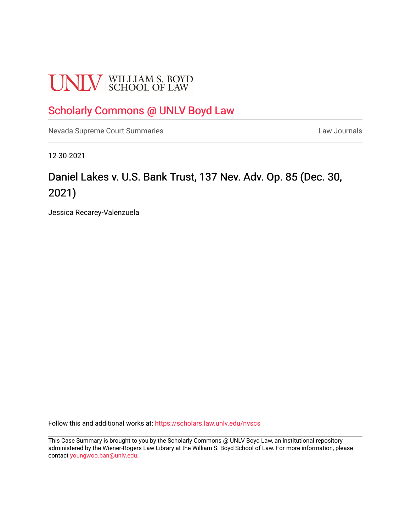# **UNLV** SCHOOL OF LAW

# [Scholarly Commons @ UNLV Boyd Law](https://scholars.law.unlv.edu/)

[Nevada Supreme Court Summaries](https://scholars.law.unlv.edu/nvscs) **Law Journals** Law Journals

12-30-2021

# Daniel Lakes v. U.S. Bank Trust, 137 Nev. Adv. Op. 85 (Dec. 30, 2021)

Jessica Recarey-Valenzuela

Follow this and additional works at: [https://scholars.law.unlv.edu/nvscs](https://scholars.law.unlv.edu/nvscs?utm_source=scholars.law.unlv.edu%2Fnvscs%2F1469&utm_medium=PDF&utm_campaign=PDFCoverPages)

This Case Summary is brought to you by the Scholarly Commons @ UNLV Boyd Law, an institutional repository administered by the Wiener-Rogers Law Library at the William S. Boyd School of Law. For more information, please contact [youngwoo.ban@unlv.edu](mailto:youngwoo.ban@unlv.edu).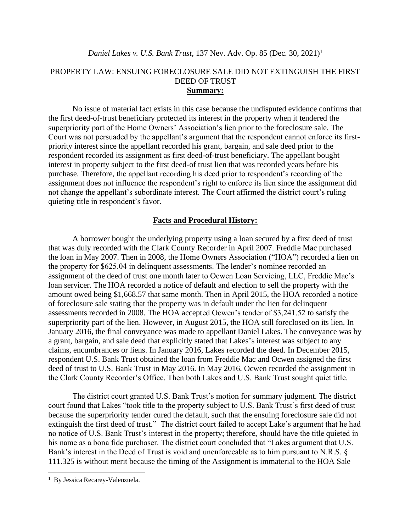## PROPERTY LAW: ENSUING FORECLOSURE SALE DID NOT EXTINGUISH THE FIRST DEED OF TRUST **Summary:**

No issue of material fact exists in this case because the undisputed evidence confirms that the first deed-of-trust beneficiary protected its interest in the property when it tendered the superpriority part of the Home Owners' Association's lien prior to the foreclosure sale. The Court was not persuaded by the appellant's argument that the respondent cannot enforce its firstpriority interest since the appellant recorded his grant, bargain, and sale deed prior to the respondent recorded its assignment as first deed-of-trust beneficiary. The appellant bought interest in property subject to the first deed-of trust lien that was recorded years before his purchase. Therefore, the appellant recording his deed prior to respondent's recording of the assignment does not influence the respondent's right to enforce its lien since the assignment did not change the appellant's subordinate interest. The Court affirmed the district court's ruling quieting title in respondent's favor.

#### **Facts and Procedural History:**

A borrower bought the underlying property using a loan secured by a first deed of trust that was duly recorded with the Clark County Recorder in April 2007. Freddie Mac purchased the loan in May 2007. Then in 2008, the Home Owners Association ("HOA") recorded a lien on the property for \$625.04 in delinquent assessments. The lender's nominee recorded an assignment of the deed of trust one month later to Ocwen Loan Servicing, LLC, Freddie Mac's loan servicer. The HOA recorded a notice of default and election to sell the property with the amount owed being \$1,668.57 that same month. Then in April 2015, the HOA recorded a notice of foreclosure sale stating that the property was in default under the lien for delinquent assessments recorded in 2008. The HOA accepted Ocwen's tender of \$3,241.52 to satisfy the superpriority part of the lien. However, in August 2015, the HOA still foreclosed on its lien. In January 2016, the final conveyance was made to appellant Daniel Lakes. The conveyance was by a grant, bargain, and sale deed that explicitly stated that Lakes's interest was subject to any claims, encumbrances or liens. In January 2016, Lakes recorded the deed. In December 2015, respondent U.S. Bank Trust obtained the loan from Freddie Mac and Ocwen assigned the first deed of trust to U.S. Bank Trust in May 2016. In May 2016, Ocwen recorded the assignment in the Clark County Recorder's Office. Then both Lakes and U.S. Bank Trust sought quiet title.

The district court granted U.S. Bank Trust's motion for summary judgment. The district court found that Lakes "took title to the property subject to U.S. Bank Trust's first deed of trust because the superpriority tender cured the default, such that the ensuing foreclosure sale did not extinguish the first deed of trust." The district court failed to accept Lake's argument that he had no notice of U.S. Bank Trust's interest in the property; therefore, should have the title quieted in his name as a bona fide purchaser. The district court concluded that "Lakes argument that U.S. Bank's interest in the Deed of Trust is void and unenforceable as to him pursuant to N.R.S. § 111.325 is without merit because the timing of the Assignment is immaterial to the HOA Sale

<sup>&</sup>lt;sup>1</sup> By Jessica Recarey-Valenzuela.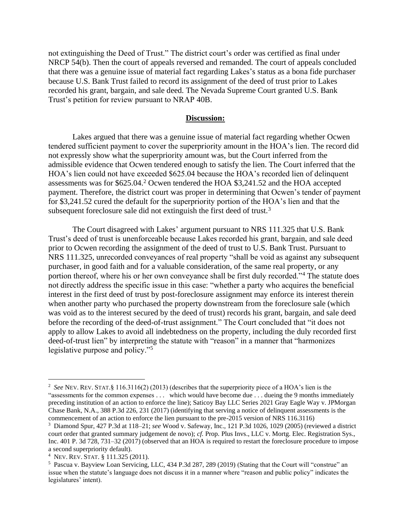not extinguishing the Deed of Trust." The district court's order was certified as final under NRCP 54(b). Then the court of appeals reversed and remanded. The court of appeals concluded that there was a genuine issue of material fact regarding Lakes's status as a bona fide purchaser because U.S. Bank Trust failed to record its assignment of the deed of trust prior to Lakes recorded his grant, bargain, and sale deed. The Nevada Supreme Court granted U.S. Bank Trust's petition for review pursuant to NRAP 40B.

### **Discussion:**

Lakes argued that there was a genuine issue of material fact regarding whether Ocwen tendered sufficient payment to cover the superpriority amount in the HOA's lien. The record did not expressly show what the superpriority amount was, but the Court inferred from the admissible evidence that Ocwen tendered enough to satisfy the lien. The Court inferred that the HOA's lien could not have exceeded \$625.04 because the HOA's recorded lien of delinquent assessments was for \$625.04.<sup>2</sup> Ocwen tendered the HOA \$3,241.52 and the HOA accepted payment. Therefore, the district court was proper in determining that Ocwen's tender of payment for \$3,241.52 cured the default for the superpriority portion of the HOA's lien and that the subsequent foreclosure sale did not extinguish the first deed of trust.<sup>3</sup>

The Court disagreed with Lakes' argument pursuant to NRS 111.325 that U.S. Bank Trust's deed of trust is unenforceable because Lakes recorded his grant, bargain, and sale deed prior to Ocwen recording the assignment of the deed of trust to U.S. Bank Trust. Pursuant to NRS 111.325, unrecorded conveyances of real property "shall be void as against any subsequent purchaser, in good faith and for a valuable consideration, of the same real property, or any portion thereof, where his or her own conveyance shall be first duly recorded."<sup>4</sup> The statute does not directly address the specific issue in this case: "whether a party who acquires the beneficial interest in the first deed of trust by post-foreclosure assignment may enforce its interest therein when another party who purchased the property downstream from the foreclosure sale (which was void as to the interest secured by the deed of trust) records his grant, bargain, and sale deed before the recording of the deed-of-trust assignment." The Court concluded that "it does not apply to allow Lakes to avoid all indebtedness on the property, including the duly recorded first deed-of-trust lien" by interpreting the statute with "reason" in a manner that "harmonizes legislative purpose and policy."<sup>5</sup>

<sup>&</sup>lt;sup>2</sup> See NEV. REV. STAT.§ 116.3116(2) (2013) (describes that the superpriority piece of a HOA's lien is the "assessments for the common expenses . . . which would have become due . . . dueing the 9 months immediately preceding institution of an action to enforce the line); Saticoy Bay LLC Series 2021 Gray Eagle Way v. JPMorgan Chase Bank, N.A., 388 P.3d 226, 231 (2017) (identifying that serving a notice of delinquent assessments is the commencement of an action to enforce the lien pursuant to the pre-2015 version of NRS 116.3116)

<sup>3</sup> Diamond Spur, 427 P.3d at 118–21; *see* Wood v. Safeway, Inc., 121 P.3d 1026, 1029 (2005) (reviewed a district court order that granted summary judgement de novo); *cf.* Prop. Plus Invs., LLC v. Mortg. Elec. Registration Sys., Inc. 401 P. 3d 728, 731–32 (2017) (observed that an HOA is required to restart the foreclosure procedure to impose a second superpriority default).

<sup>4</sup> NEV. REV.STAT. § 111.325 (2011).

<sup>5</sup> Pascua v. Bayview Loan Servicing, LLC, 434 P.3d 287, 289 (2019) (Stating that the Court will "construe" an issue when the statute's language does not discuss it in a manner where "reason and public policy" indicates the legislatures' intent).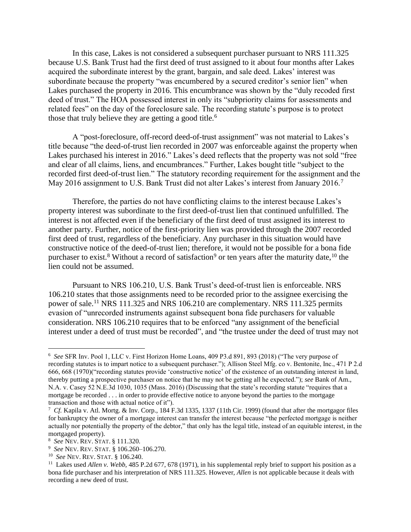In this case, Lakes is not considered a subsequent purchaser pursuant to NRS 111.325 because U.S. Bank Trust had the first deed of trust assigned to it about four months after Lakes acquired the subordinate interest by the grant, bargain, and sale deed. Lakes' interest was subordinate because the property "was encumbered by a secured creditor's senior lien" when Lakes purchased the property in 2016. This encumbrance was shown by the "duly recoded first deed of trust." The HOA possessed interest in only its "subpriority claims for assessments and related fees" on the day of the foreclosure sale. The recording statute's purpose is to protect those that truly believe they are getting a good title.<sup>6</sup>

A "post-foreclosure, off-record deed-of-trust assignment" was not material to Lakes's title because "the deed-of-trust lien recorded in 2007 was enforceable against the property when Lakes purchased his interest in 2016." Lakes's deed reflects that the property was not sold "free and clear of all claims, liens, and encumbrances." Further, Lakes bought title "subject to the recorded first deed-of-trust lien." The statutory recording requirement for the assignment and the May 2016 assignment to U.S. Bank Trust did not alter Lakes's interest from January 2016.<sup>7</sup>

Therefore, the parties do not have conflicting claims to the interest because Lakes's property interest was subordinate to the first deed-of-trust lien that continued unfulfilled. The interest is not affected even if the beneficiary of the first deed of trust assigned its interest to another party. Further, notice of the first-priority lien was provided through the 2007 recorded first deed of trust, regardless of the beneficiary. Any purchaser in this situation would have constructive notice of the deed-of-trust lien; therefore, it would not be possible for a bona fide purchaser to exist.<sup>8</sup> Without a record of satisfaction<sup>9</sup> or ten years after the maturity date,<sup>10</sup> the lien could not be assumed.

Pursuant to NRS 106.210, U.S. Bank Trust's deed-of-trust lien is enforceable. NRS 106.210 states that those assignments need to be recorded prior to the assignee exercising the power of sale.<sup>11</sup> NRS 111.325 and NRS 106.210 are complementary. NRS 111.325 permits evasion of "unrecorded instruments against subsequent bona fide purchasers for valuable consideration. NRS 106.210 requires that to be enforced "any assignment of the beneficial interest under a deed of trust must be recorded", and "the trustee under the deed of trust may not

<sup>6</sup> *See* SFR Inv. Pool 1, LLC v. First Horizon Home Loans, 409 P3.d 891, 893 (2018) ("The very purpose of recording statutes is to impart notice to a subsequent purchaser."); Allison Steel Mfg. co v. Bentonite, Inc., 471 P 2.d 666, 668 (1970)("recording statutes provide 'constructive notice' of the existence of an outstanding interest in land, thereby putting a prospective purchaser on notice that he may not be getting all he expected."); *see* Bank of Am., N.A. v. Casey 52 N.E.3d 1030, 1035 (Mass. 2016) (Discussing that the state's recording statute "requires that a mortgage be recorded . . . in order to provide effective notice to anyone beyond the parties to the mortgage transaction and those with actual notice of it").

 $^7$  Cf. Kapila v. Atl. Mortg. & Inv. Corp., 184 F.3d 1335, 1337 (11th Cir. 1999) (found that after the mortgagor files for bankruptcy the owner of a mortgage interest can transfer the interest because "the perfected mortgage is neither actually nor potentially the property of the debtor," that only has the legal title, instead of an equitable interest, in the mortgaged property).

<sup>8</sup> *See* NEV. REV.STAT. § 111.320.

<sup>9</sup>  *See* NEV. REV.STAT. § 106.260–106.270.

<sup>10</sup> *See* NEV. REV.STAT. § 106.240.

<sup>&</sup>lt;sup>11</sup> Lakes used *Allen v. Webb*, 485 P.2d 677, 678 (1971), in his supplemental reply brief to support his position as a bona fide purchaser and his interpretation of NRS 111.325. However, *Allen* is not applicable because it deals with recording a new deed of trust.